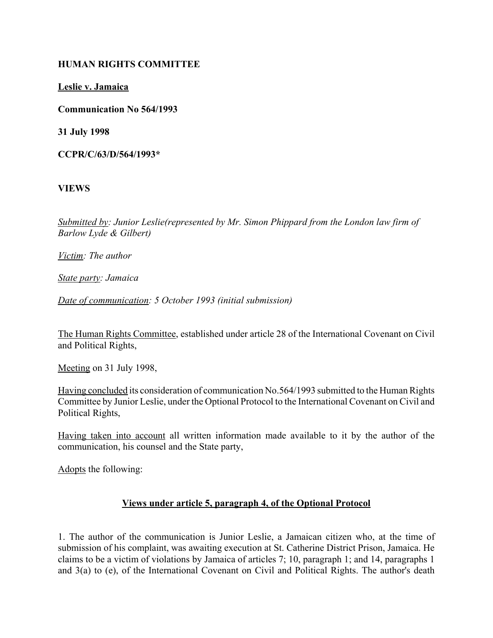### **HUMAN RIGHTS COMMITTEE**

**Leslie v. Jamaica**

**Communication No 564/1993**

**31 July 1998**

**CCPR/C/63/D/564/1993\***

**VIEWS**

*Submitted by: Junior Leslie(represented by Mr. Simon Phippard from the London law firm of Barlow Lyde & Gilbert)* 

*Victim: The author*

*State party: Jamaica*

*Date of communication: 5 October 1993 (initial submission)*

The Human Rights Committee, established under article 28 of the International Covenant on Civil and Political Rights,

Meeting on 31 July 1998,

Having concluded its consideration of communication No.564/1993 submitted to the Human Rights Committee by Junior Leslie, under the Optional Protocol to the International Covenant on Civil and Political Rights,

Having taken into account all written information made available to it by the author of the communication, his counsel and the State party,

Adopts the following:

## **Views under article 5, paragraph 4, of the Optional Protocol**

1. The author of the communication is Junior Leslie, a Jamaican citizen who, at the time of submission of his complaint, was awaiting execution at St. Catherine District Prison, Jamaica. He claims to be a victim of violations by Jamaica of articles 7; 10, paragraph 1; and 14, paragraphs 1 and 3(a) to (e), of the International Covenant on Civil and Political Rights. The author's death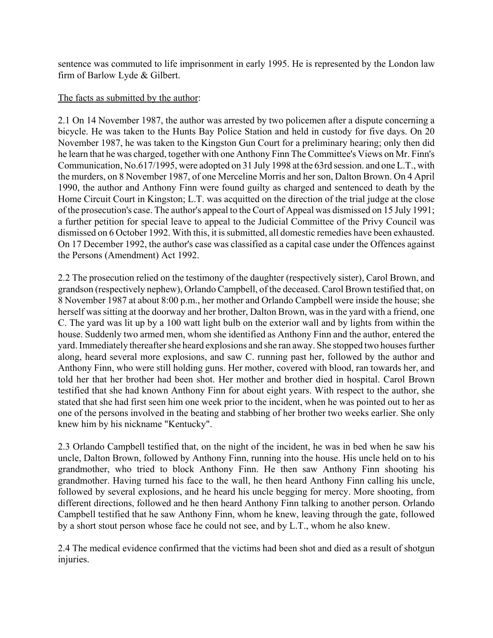sentence was commuted to life imprisonment in early 1995. He is represented by the London law firm of Barlow Lyde & Gilbert.

### The facts as submitted by the author:

2.1 On 14 November 1987, the author was arrested by two policemen after a dispute concerning a bicycle. He was taken to the Hunts Bay Police Station and held in custody for five days. On 20 November 1987, he was taken to the Kingston Gun Court for a preliminary hearing; only then did he learn that he was charged, together with one Anthony Finn The Committee's Views on Mr. Finn's Communication, No.617/1995, were adopted on 31 July 1998 at the 63rd session. and one L.T., with the murders, on 8 November 1987, of one Merceline Morris and her son, Dalton Brown. On 4 April 1990, the author and Anthony Finn were found guilty as charged and sentenced to death by the Home Circuit Court in Kingston; L.T. was acquitted on the direction of the trial judge at the close of the prosecution's case. The author's appeal to the Court of Appeal was dismissed on 15 July 1991; a further petition for special leave to appeal to the Judicial Committee of the Privy Council was dismissed on 6 October 1992. With this, it is submitted, all domestic remedies have been exhausted. On 17 December 1992, the author's case was classified as a capital case under the Offences against the Persons (Amendment) Act 1992.

2.2 The prosecution relied on the testimony of the daughter (respectively sister), Carol Brown, and grandson (respectively nephew), Orlando Campbell, of the deceased. Carol Brown testified that, on 8 November 1987 at about 8:00 p.m., her mother and Orlando Campbell were inside the house; she herself was sitting at the doorway and her brother, Dalton Brown, was in the yard with a friend, one C. The yard was lit up by a 100 watt light bulb on the exterior wall and by lights from within the house. Suddenly two armed men, whom she identified as Anthony Finn and the author, entered the yard. Immediately thereafter she heard explosions and she ran away. She stopped two houses further along, heard several more explosions, and saw C. running past her, followed by the author and Anthony Finn, who were still holding guns. Her mother, covered with blood, ran towards her, and told her that her brother had been shot. Her mother and brother died in hospital. Carol Brown testified that she had known Anthony Finn for about eight years. With respect to the author, she stated that she had first seen him one week prior to the incident, when he was pointed out to her as one of the persons involved in the beating and stabbing of her brother two weeks earlier. She only knew him by his nickname "Kentucky".

2.3 Orlando Campbell testified that, on the night of the incident, he was in bed when he saw his uncle, Dalton Brown, followed by Anthony Finn, running into the house. His uncle held on to his grandmother, who tried to block Anthony Finn. He then saw Anthony Finn shooting his grandmother. Having turned his face to the wall, he then heard Anthony Finn calling his uncle, followed by several explosions, and he heard his uncle begging for mercy. More shooting, from different directions, followed and he then heard Anthony Finn talking to another person. Orlando Campbell testified that he saw Anthony Finn, whom he knew, leaving through the gate, followed by a short stout person whose face he could not see, and by L.T., whom he also knew.

2.4 The medical evidence confirmed that the victims had been shot and died as a result of shotgun injuries.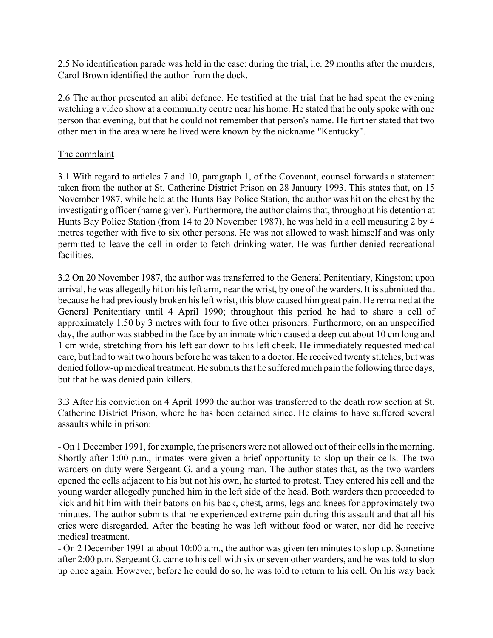2.5 No identification parade was held in the case; during the trial, i.e. 29 months after the murders, Carol Brown identified the author from the dock.

2.6 The author presented an alibi defence. He testified at the trial that he had spent the evening watching a video show at a community centre near his home. He stated that he only spoke with one person that evening, but that he could not remember that person's name. He further stated that two other men in the area where he lived were known by the nickname "Kentucky".

## The complaint

3.1 With regard to articles 7 and 10, paragraph 1, of the Covenant, counsel forwards a statement taken from the author at St. Catherine District Prison on 28 January 1993. This states that, on 15 November 1987, while held at the Hunts Bay Police Station, the author was hit on the chest by the investigating officer (name given). Furthermore, the author claims that, throughout his detention at Hunts Bay Police Station (from 14 to 20 November 1987), he was held in a cell measuring 2 by 4 metres together with five to six other persons. He was not allowed to wash himself and was only permitted to leave the cell in order to fetch drinking water. He was further denied recreational facilities.

3.2 On 20 November 1987, the author was transferred to the General Penitentiary, Kingston; upon arrival, he was allegedly hit on his left arm, near the wrist, by one of the warders. It is submitted that because he had previously broken his left wrist, this blow caused him great pain. He remained at the General Penitentiary until 4 April 1990; throughout this period he had to share a cell of approximately 1.50 by 3 metres with four to five other prisoners. Furthermore, on an unspecified day, the author was stabbed in the face by an inmate which caused a deep cut about 10 cm long and 1 cm wide, stretching from his left ear down to his left cheek. He immediately requested medical care, but had to wait two hours before he was taken to a doctor. He received twenty stitches, but was denied follow-up medical treatment. He submits that he suffered much pain the following three days, but that he was denied pain killers.

3.3 After his conviction on 4 April 1990 the author was transferred to the death row section at St. Catherine District Prison, where he has been detained since. He claims to have suffered several assaults while in prison:

- On 1 December 1991, for example, the prisoners were not allowed out of their cells in the morning. Shortly after 1:00 p.m., inmates were given a brief opportunity to slop up their cells. The two warders on duty were Sergeant G. and a young man. The author states that, as the two warders opened the cells adjacent to his but not his own, he started to protest. They entered his cell and the young warder allegedly punched him in the left side of the head. Both warders then proceeded to kick and hit him with their batons on his back, chest, arms, legs and knees for approximately two minutes. The author submits that he experienced extreme pain during this assault and that all his cries were disregarded. After the beating he was left without food or water, nor did he receive medical treatment.

- On 2 December 1991 at about 10:00 a.m., the author was given ten minutes to slop up. Sometime after 2:00 p.m. Sergeant G. came to his cell with six or seven other warders, and he was told to slop up once again. However, before he could do so, he was told to return to his cell. On his way back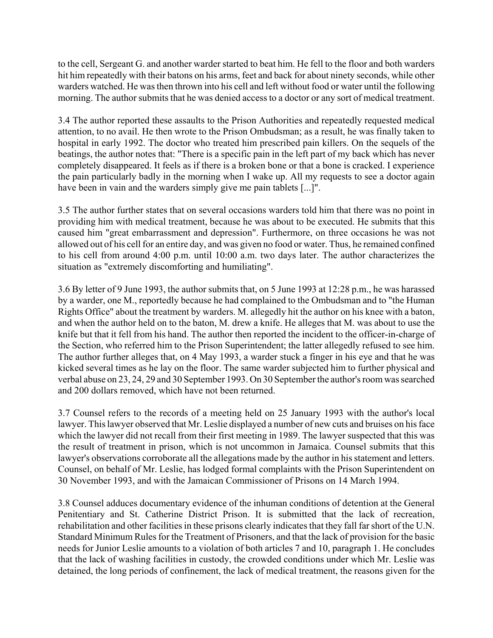to the cell, Sergeant G. and another warder started to beat him. He fell to the floor and both warders hit him repeatedly with their batons on his arms, feet and back for about ninety seconds, while other warders watched. He was then thrown into his cell and left without food or water until the following morning. The author submits that he was denied access to a doctor or any sort of medical treatment.

3.4 The author reported these assaults to the Prison Authorities and repeatedly requested medical attention, to no avail. He then wrote to the Prison Ombudsman; as a result, he was finally taken to hospital in early 1992. The doctor who treated him prescribed pain killers. On the sequels of the beatings, the author notes that: "There is a specific pain in the left part of my back which has never completely disappeared. It feels as if there is a broken bone or that a bone is cracked. I experience the pain particularly badly in the morning when I wake up. All my requests to see a doctor again have been in vain and the warders simply give me pain tablets [...]".

3.5 The author further states that on several occasions warders told him that there was no point in providing him with medical treatment, because he was about to be executed. He submits that this caused him "great embarrassment and depression". Furthermore, on three occasions he was not allowed out of his cell for an entire day, and was given no food or water. Thus, he remained confined to his cell from around 4:00 p.m. until 10:00 a.m. two days later. The author characterizes the situation as "extremely discomforting and humiliating".

3.6 By letter of 9 June 1993, the author submits that, on 5 June 1993 at 12:28 p.m., he was harassed by a warder, one M., reportedly because he had complained to the Ombudsman and to "the Human Rights Office" about the treatment by warders. M. allegedly hit the author on his knee with a baton, and when the author held on to the baton, M. drew a knife. He alleges that M. was about to use the knife but that it fell from his hand. The author then reported the incident to the officer-in-charge of the Section, who referred him to the Prison Superintendent; the latter allegedly refused to see him. The author further alleges that, on 4 May 1993, a warder stuck a finger in his eye and that he was kicked several times as he lay on the floor. The same warder subjected him to further physical and verbal abuse on 23, 24, 29 and 30 September 1993. On 30 September the author's room was searched and 200 dollars removed, which have not been returned.

3.7 Counsel refers to the records of a meeting held on 25 January 1993 with the author's local lawyer. This lawyer observed that Mr. Leslie displayed a number of new cuts and bruises on his face which the lawyer did not recall from their first meeting in 1989. The lawyer suspected that this was the result of treatment in prison, which is not uncommon in Jamaica. Counsel submits that this lawyer's observations corroborate all the allegations made by the author in his statement and letters. Counsel, on behalf of Mr. Leslie, has lodged formal complaints with the Prison Superintendent on 30 November 1993, and with the Jamaican Commissioner of Prisons on 14 March 1994.

3.8 Counsel adduces documentary evidence of the inhuman conditions of detention at the General Penitentiary and St. Catherine District Prison. It is submitted that the lack of recreation, rehabilitation and other facilities in these prisons clearly indicates that they fall far short of the U.N. Standard Minimum Rules for the Treatment of Prisoners, and that the lack of provision for the basic needs for Junior Leslie amounts to a violation of both articles 7 and 10, paragraph 1. He concludes that the lack of washing facilities in custody, the crowded conditions under which Mr. Leslie was detained, the long periods of confinement, the lack of medical treatment, the reasons given for the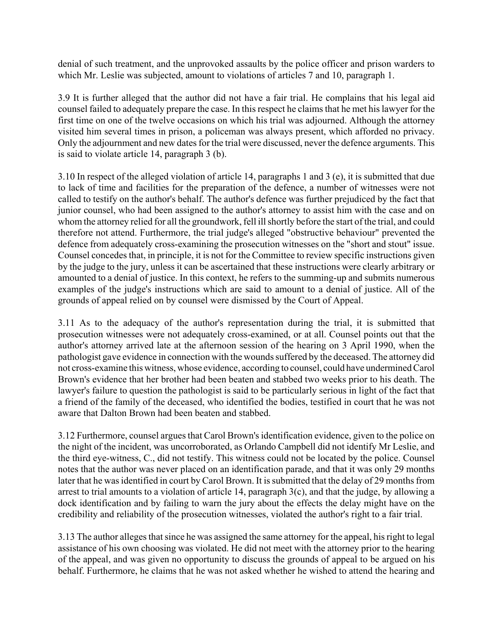denial of such treatment, and the unprovoked assaults by the police officer and prison warders to which Mr. Leslie was subjected, amount to violations of articles 7 and 10, paragraph 1.

3.9 It is further alleged that the author did not have a fair trial. He complains that his legal aid counsel failed to adequately prepare the case. In this respect he claims that he met his lawyer for the first time on one of the twelve occasions on which his trial was adjourned. Although the attorney visited him several times in prison, a policeman was always present, which afforded no privacy. Only the adjournment and new dates for the trial were discussed, never the defence arguments. This is said to violate article 14, paragraph 3 (b).

3.10 In respect of the alleged violation of article 14, paragraphs 1 and 3 (e), it is submitted that due to lack of time and facilities for the preparation of the defence, a number of witnesses were not called to testify on the author's behalf. The author's defence was further prejudiced by the fact that junior counsel, who had been assigned to the author's attorney to assist him with the case and on whom the attorney relied for all the groundwork, fell ill shortly before the start of the trial, and could therefore not attend. Furthermore, the trial judge's alleged "obstructive behaviour" prevented the defence from adequately cross-examining the prosecution witnesses on the "short and stout" issue. Counsel concedes that, in principle, it is not for the Committee to review specific instructions given by the judge to the jury, unless it can be ascertained that these instructions were clearly arbitrary or amounted to a denial of justice. In this context, he refers to the summing-up and submits numerous examples of the judge's instructions which are said to amount to a denial of justice. All of the grounds of appeal relied on by counsel were dismissed by the Court of Appeal.

3.11 As to the adequacy of the author's representation during the trial, it is submitted that prosecution witnesses were not adequately cross-examined, or at all. Counsel points out that the author's attorney arrived late at the afternoon session of the hearing on 3 April 1990, when the pathologist gave evidence in connection with the wounds suffered by the deceased. The attorney did not cross-examine this witness, whose evidence, according to counsel, could have undermined Carol Brown's evidence that her brother had been beaten and stabbed two weeks prior to his death. The lawyer's failure to question the pathologist is said to be particularly serious in light of the fact that a friend of the family of the deceased, who identified the bodies, testified in court that he was not aware that Dalton Brown had been beaten and stabbed.

3.12 Furthermore, counsel argues that Carol Brown's identification evidence, given to the police on the night of the incident, was uncorroborated, as Orlando Campbell did not identify Mr Leslie, and the third eye-witness, C., did not testify. This witness could not be located by the police. Counsel notes that the author was never placed on an identification parade, and that it was only 29 months later that he was identified in court by Carol Brown. It is submitted that the delay of 29 months from arrest to trial amounts to a violation of article 14, paragraph 3(c), and that the judge, by allowing a dock identification and by failing to warn the jury about the effects the delay might have on the credibility and reliability of the prosecution witnesses, violated the author's right to a fair trial.

3.13 The author alleges that since he was assigned the same attorney for the appeal, his right to legal assistance of his own choosing was violated. He did not meet with the attorney prior to the hearing of the appeal, and was given no opportunity to discuss the grounds of appeal to be argued on his behalf. Furthermore, he claims that he was not asked whether he wished to attend the hearing and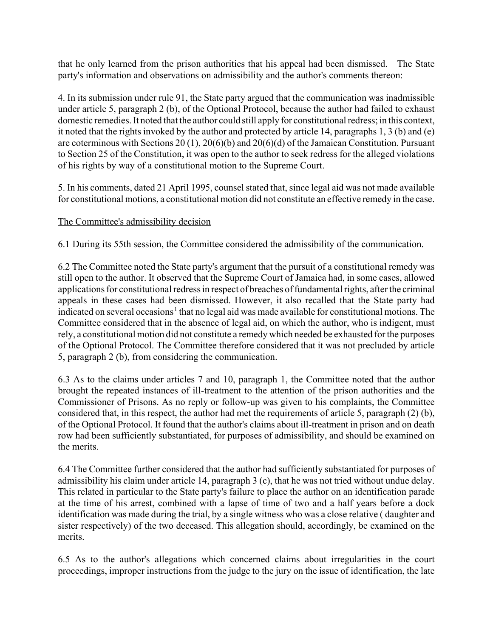that he only learned from the prison authorities that his appeal had been dismissed. The State party's information and observations on admissibility and the author's comments thereon:

4. In its submission under rule 91, the State party argued that the communication was inadmissible under article 5, paragraph 2 (b), of the Optional Protocol, because the author had failed to exhaust domestic remedies. It noted that the author could still apply for constitutional redress; in this context, it noted that the rights invoked by the author and protected by article 14, paragraphs 1, 3 (b) and (e) are coterminous with Sections 20 (1), 20(6)(b) and 20(6)(d) of the Jamaican Constitution. Pursuant to Section 25 of the Constitution, it was open to the author to seek redress for the alleged violations of his rights by way of a constitutional motion to the Supreme Court.

5. In his comments, dated 21 April 1995, counsel stated that, since legal aid was not made available for constitutional motions, a constitutional motion did not constitute an effective remedy in the case.

# The Committee's admissibility decision

6.1 During its 55th session, the Committee considered the admissibility of the communication.

6.2 The Committee noted the State party's argument that the pursuit of a constitutional remedy was still open to the author. It observed that the Supreme Court of Jamaica had, in some cases, allowed applications for constitutional redress in respect of breaches of fundamental rights, after the criminal appeals in these cases had been dismissed. However, it also recalled that the State party had indicated on several occasions<sup>1</sup> that no legal aid was made available for constitutional motions. The Committee considered that in the absence of legal aid, on which the author, who is indigent, must rely, a constitutional motion did not constitute a remedy which needed be exhausted for the purposes of the Optional Protocol. The Committee therefore considered that it was not precluded by article 5, paragraph 2 (b), from considering the communication.

6.3 As to the claims under articles 7 and 10, paragraph 1, the Committee noted that the author brought the repeated instances of ill-treatment to the attention of the prison authorities and the Commissioner of Prisons. As no reply or follow-up was given to his complaints, the Committee considered that, in this respect, the author had met the requirements of article 5, paragraph (2) (b), of the Optional Protocol. It found that the author's claims about ill-treatment in prison and on death row had been sufficiently substantiated, for purposes of admissibility, and should be examined on the merits.

6.4 The Committee further considered that the author had sufficiently substantiated for purposes of admissibility his claim under article 14, paragraph 3 (c), that he was not tried without undue delay. This related in particular to the State party's failure to place the author on an identification parade at the time of his arrest, combined with a lapse of time of two and a half years before a dock identification was made during the trial, by a single witness who was a close relative ( daughter and sister respectively) of the two deceased. This allegation should, accordingly, be examined on the merits.

6.5 As to the author's allegations which concerned claims about irregularities in the court proceedings, improper instructions from the judge to the jury on the issue of identification, the late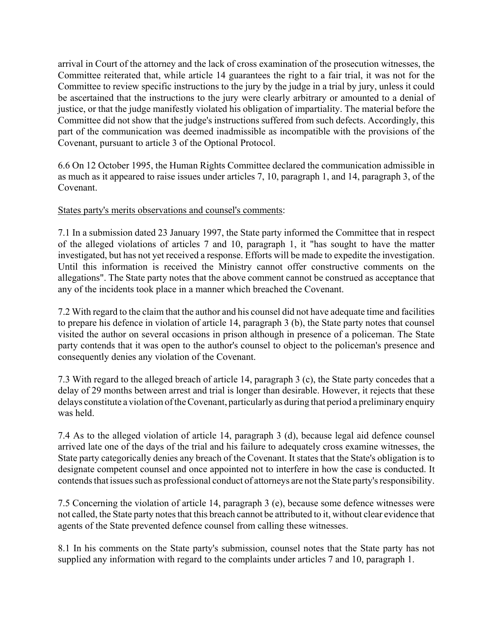arrival in Court of the attorney and the lack of cross examination of the prosecution witnesses, the Committee reiterated that, while article 14 guarantees the right to a fair trial, it was not for the Committee to review specific instructions to the jury by the judge in a trial by jury, unless it could be ascertained that the instructions to the jury were clearly arbitrary or amounted to a denial of justice, or that the judge manifestly violated his obligation of impartiality. The material before the Committee did not show that the judge's instructions suffered from such defects. Accordingly, this part of the communication was deemed inadmissible as incompatible with the provisions of the Covenant, pursuant to article 3 of the Optional Protocol.

6.6 On 12 October 1995, the Human Rights Committee declared the communication admissible in as much as it appeared to raise issues under articles 7, 10, paragraph 1, and 14, paragraph 3, of the Covenant.

#### States party's merits observations and counsel's comments:

7.1 In a submission dated 23 January 1997, the State party informed the Committee that in respect of the alleged violations of articles 7 and 10, paragraph 1, it "has sought to have the matter investigated, but has not yet received a response. Efforts will be made to expedite the investigation. Until this information is received the Ministry cannot offer constructive comments on the allegations". The State party notes that the above comment cannot be construed as acceptance that any of the incidents took place in a manner which breached the Covenant.

7.2 With regard to the claim that the author and his counsel did not have adequate time and facilities to prepare his defence in violation of article 14, paragraph 3 (b), the State party notes that counsel visited the author on several occasions in prison although in presence of a policeman. The State party contends that it was open to the author's counsel to object to the policeman's presence and consequently denies any violation of the Covenant.

7.3 With regard to the alleged breach of article 14, paragraph 3 (c), the State party concedes that a delay of 29 months between arrest and trial is longer than desirable. However, it rejects that these delays constitute a violation of the Covenant, particularly as during that period a preliminary enquiry was held.

7.4 As to the alleged violation of article 14, paragraph 3 (d), because legal aid defence counsel arrived late one of the days of the trial and his failure to adequately cross examine witnesses, the State party categorically denies any breach of the Covenant. It states that the State's obligation is to designate competent counsel and once appointed not to interfere in how the case is conducted. It contends that issues such as professional conduct of attorneys are not the State party's responsibility.

7.5 Concerning the violation of article 14, paragraph 3 (e), because some defence witnesses were not called, the State party notes that this breach cannot be attributed to it, without clear evidence that agents of the State prevented defence counsel from calling these witnesses.

8.1 In his comments on the State party's submission, counsel notes that the State party has not supplied any information with regard to the complaints under articles 7 and 10, paragraph 1.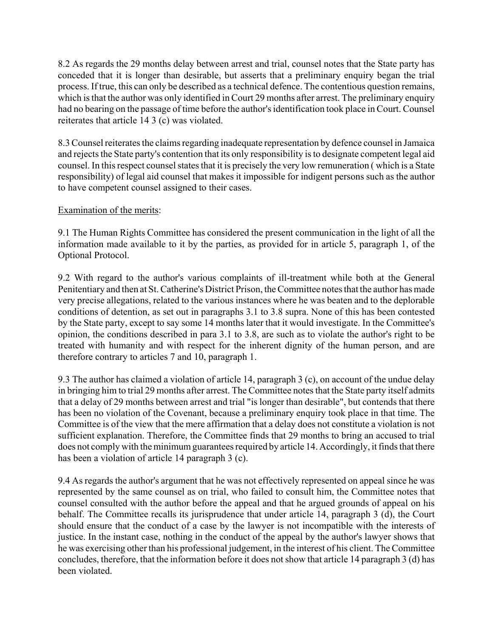8.2 As regards the 29 months delay between arrest and trial, counsel notes that the State party has conceded that it is longer than desirable, but asserts that a preliminary enquiry began the trial process. If true, this can only be described as a technical defence. The contentious question remains, which is that the author was only identified in Court 29 months after arrest. The preliminary enquiry had no bearing on the passage of time before the author's identification took place in Court. Counsel reiterates that article 14 3 (c) was violated.

8.3 Counsel reiterates the claims regarding inadequate representation by defence counsel in Jamaica and rejects the State party's contention that its only responsibility is to designate competent legal aid counsel. In this respect counsel states that it is precisely the very low remuneration ( which is a State responsibility) of legal aid counsel that makes it impossible for indigent persons such as the author to have competent counsel assigned to their cases.

# Examination of the merits:

9.1 The Human Rights Committee has considered the present communication in the light of all the information made available to it by the parties, as provided for in article 5, paragraph 1, of the Optional Protocol.

9.2 With regard to the author's various complaints of ill-treatment while both at the General Penitentiary and then at St. Catherine's District Prison, the Committee notes that the author has made very precise allegations, related to the various instances where he was beaten and to the deplorable conditions of detention, as set out in paragraphs 3.1 to 3.8 supra. None of this has been contested by the State party, except to say some 14 months later that it would investigate. In the Committee's opinion, the conditions described in para 3.1 to 3.8, are such as to violate the author's right to be treated with humanity and with respect for the inherent dignity of the human person, and are therefore contrary to articles 7 and 10, paragraph 1.

9.3 The author has claimed a violation of article 14, paragraph 3 (c), on account of the undue delay in bringing him to trial 29 months after arrest. The Committee notes that the State party itself admits that a delay of 29 months between arrest and trial "is longer than desirable", but contends that there has been no violation of the Covenant, because a preliminary enquiry took place in that time. The Committee is of the view that the mere affirmation that a delay does not constitute a violation is not sufficient explanation. Therefore, the Committee finds that 29 months to bring an accused to trial does not comply with the minimum guarantees required by article 14. Accordingly, it finds that there has been a violation of article 14 paragraph 3 (c).

9.4 As regards the author's argument that he was not effectively represented on appeal since he was represented by the same counsel as on trial, who failed to consult him, the Committee notes that counsel consulted with the author before the appeal and that he argued grounds of appeal on his behalf. The Committee recalls its jurisprudence that under article 14, paragraph 3 (d), the Court should ensure that the conduct of a case by the lawyer is not incompatible with the interests of justice. In the instant case, nothing in the conduct of the appeal by the author's lawyer shows that he was exercising other than his professional judgement, in the interest of his client. The Committee concludes, therefore, that the information before it does not show that article 14 paragraph 3 (d) has been violated.